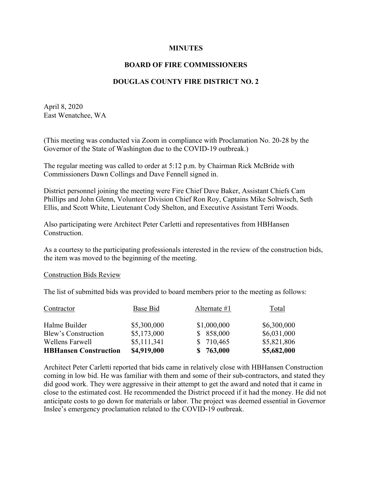#### **MINUTES**

## **BOARD OF FIRE COMMISSIONERS**

## **DOUGLAS COUNTY FIRE DISTRICT NO. 2**

April 8, 2020 East Wenatchee, WA

(This meeting was conducted via Zoom in compliance with Proclamation No. 20-28 by the Governor of the State of Washington due to the COVID-19 outbreak.)

The regular meeting was called to order at 5:12 p.m. by Chairman Rick McBride with Commissioners Dawn Collings and Dave Fennell signed in.

District personnel joining the meeting were Fire Chief Dave Baker, Assistant Chiefs Cam Phillips and John Glenn, Volunteer Division Chief Ron Roy, Captains Mike Soltwisch, Seth Ellis, and Scott White, Lieutenant Cody Shelton, and Executive Assistant Terri Woods.

Also participating were Architect Peter Carletti and representatives from HBHansen Construction.

As a courtesy to the participating professionals interested in the review of the construction bids, the item was moved to the beginning of the meeting.

#### Construction Bids Review

The list of submitted bids was provided to board members prior to the meeting as follows:

| <b>HBHansen Construction</b> | \$4,919,000 | 763,000<br>SS. | \$5,682,000 |
|------------------------------|-------------|----------------|-------------|
| Wellens Farwell              | \$5,111,341 | \$710,465      | \$5,821,806 |
| Blew's Construction          | \$5,173,000 | \$858,000      | \$6,031,000 |
| Halme Builder                | \$5,300,000 | \$1,000,000    | \$6,300,000 |
| Contractor                   | Base Bid    | Alternate $#1$ | Total       |

Architect Peter Carletti reported that bids came in relatively close with HBHansen Construction coming in low bid. He was familiar with them and some of their sub-contractors, and stated they did good work. They were aggressive in their attempt to get the award and noted that it came in close to the estimated cost. He recommended the District proceed if it had the money. He did not anticipate costs to go down for materials or labor. The project was deemed essential in Governor Inslee's emergency proclamation related to the COVID-19 outbreak.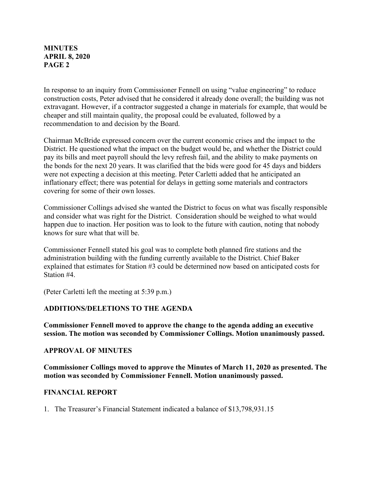In response to an inquiry from Commissioner Fennell on using "value engineering" to reduce construction costs, Peter advised that he considered it already done overall; the building was not extravagant. However, if a contractor suggested a change in materials for example, that would be cheaper and still maintain quality, the proposal could be evaluated, followed by a recommendation to and decision by the Board.

Chairman McBride expressed concern over the current economic crises and the impact to the District. He questioned what the impact on the budget would be, and whether the District could pay its bills and meet payroll should the levy refresh fail, and the ability to make payments on the bonds for the next 20 years. It was clarified that the bids were good for 45 days and bidders were not expecting a decision at this meeting. Peter Carletti added that he anticipated an inflationary effect; there was potential for delays in getting some materials and contractors covering for some of their own losses.

Commissioner Collings advised she wanted the District to focus on what was fiscally responsible and consider what was right for the District. Consideration should be weighed to what would happen due to inaction. Her position was to look to the future with caution, noting that nobody knows for sure what that will be.

Commissioner Fennell stated his goal was to complete both planned fire stations and the administration building with the funding currently available to the District. Chief Baker explained that estimates for Station #3 could be determined now based on anticipated costs for Station #4.

(Peter Carletti left the meeting at 5:39 p.m.)

### **ADDITIONS/DELETIONS TO THE AGENDA**

**Commissioner Fennell moved to approve the change to the agenda adding an executive session. The motion was seconded by Commissioner Collings. Motion unanimously passed.**

#### **APPROVAL OF MINUTES**

**Commissioner Collings moved to approve the Minutes of March 11, 2020 as presented. The motion was seconded by Commissioner Fennell. Motion unanimously passed.**

### **FINANCIAL REPORT**

1. The Treasurer's Financial Statement indicated a balance of \$13,798,931.15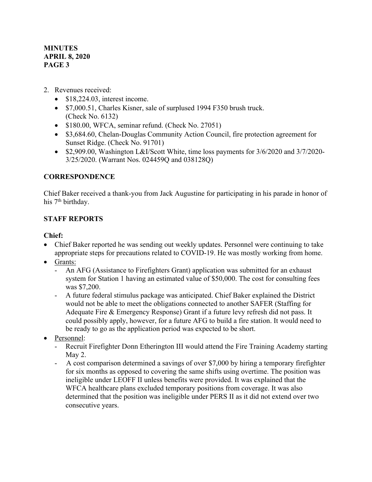- 2. Revenues received:
	- \$18,224.03, interest income.
	- \$7,000.51, Charles Kisner, sale of surplused 1994 F350 brush truck. (Check No. 6132)
	- \$180.00, WFCA, seminar refund. (Check No. 27051)
	- \$3,684.60, Chelan-Douglas Community Action Council, fire protection agreement for Sunset Ridge. (Check No. 91701)
	- \$2,909.00, Washington L&I/Scott White, time loss payments for 3/6/2020 and 3/7/2020- 3/25/2020. (Warrant Nos. 024459Q and 038128Q)

# **CORRESPONDENCE**

Chief Baker received a thank-you from Jack Augustine for participating in his parade in honor of his 7<sup>th</sup> birthday.

# **STAFF REPORTS**

# **Chief:**

- Chief Baker reported he was sending out weekly updates. Personnel were continuing to take appropriate steps for precautions related to COVID-19. He was mostly working from home.
- Grants:
	- An AFG (Assistance to Firefighters Grant) application was submitted for an exhaust system for Station 1 having an estimated value of \$50,000. The cost for consulting fees was \$7,200.
	- A future federal stimulus package was anticipated. Chief Baker explained the District would not be able to meet the obligations connected to another SAFER (Staffing for Adequate Fire & Emergency Response) Grant if a future levy refresh did not pass. It could possibly apply, however, for a future AFG to build a fire station. It would need to be ready to go as the application period was expected to be short.
- Personnel:
	- Recruit Firefighter Donn Etherington III would attend the Fire Training Academy starting May 2.
	- A cost comparison determined a savings of over \$7,000 by hiring a temporary firefighter for six months as opposed to covering the same shifts using overtime. The position was ineligible under LEOFF II unless benefits were provided. It was explained that the WFCA healthcare plans excluded temporary positions from coverage. It was also determined that the position was ineligible under PERS II as it did not extend over two consecutive years.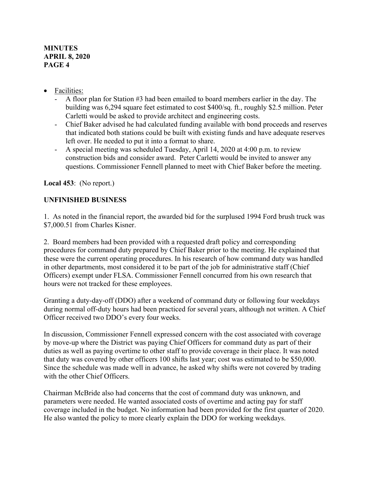## • Facilities:

- A floor plan for Station #3 had been emailed to board members earlier in the day. The building was 6,294 square feet estimated to cost \$400/sq. ft., roughly \$2.5 million. Peter Carletti would be asked to provide architect and engineering costs.
- Chief Baker advised he had calculated funding available with bond proceeds and reserves that indicated both stations could be built with existing funds and have adequate reserves left over. He needed to put it into a format to share.
- A special meeting was scheduled Tuesday, April 14, 2020 at 4:00 p.m. to review construction bids and consider award. Peter Carletti would be invited to answer any questions. Commissioner Fennell planned to meet with Chief Baker before the meeting.

**Local 453**: (No report.)

# **UNFINISHED BUSINESS**

1. As noted in the financial report, the awarded bid for the surplused 1994 Ford brush truck was \$7,000.51 from Charles Kisner.

2. Board members had been provided with a requested draft policy and corresponding procedures for command duty prepared by Chief Baker prior to the meeting. He explained that these were the current operating procedures. In his research of how command duty was handled in other departments, most considered it to be part of the job for administrative staff (Chief Officers) exempt under FLSA. Commissioner Fennell concurred from his own research that hours were not tracked for these employees.

Granting a duty-day-off (DDO) after a weekend of command duty or following four weekdays during normal off-duty hours had been practiced for several years, although not written. A Chief Officer received two DDO's every four weeks.

In discussion, Commissioner Fennell expressed concern with the cost associated with coverage by move-up where the District was paying Chief Officers for command duty as part of their duties as well as paying overtime to other staff to provide coverage in their place. It was noted that duty was covered by other officers 100 shifts last year; cost was estimated to be \$50,000. Since the schedule was made well in advance, he asked why shifts were not covered by trading with the other Chief Officers.

Chairman McBride also had concerns that the cost of command duty was unknown, and parameters were needed. He wanted associated costs of overtime and acting pay for staff coverage included in the budget. No information had been provided for the first quarter of 2020. He also wanted the policy to more clearly explain the DDO for working weekdays.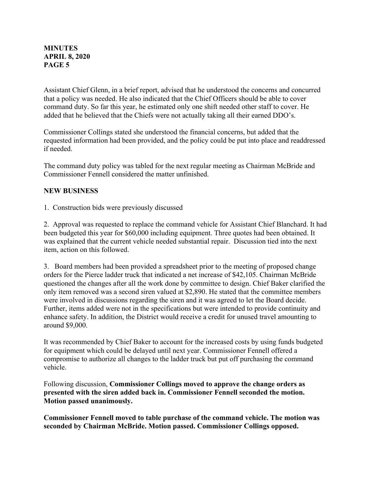Assistant Chief Glenn, in a brief report, advised that he understood the concerns and concurred that a policy was needed. He also indicated that the Chief Officers should be able to cover command duty. So far this year, he estimated only one shift needed other staff to cover. He added that he believed that the Chiefs were not actually taking all their earned DDO's.

Commissioner Collings stated she understood the financial concerns, but added that the requested information had been provided, and the policy could be put into place and readdressed if needed.

The command duty policy was tabled for the next regular meeting as Chairman McBride and Commissioner Fennell considered the matter unfinished.

# **NEW BUSINESS**

1. Construction bids were previously discussed

2. Approval was requested to replace the command vehicle for Assistant Chief Blanchard. It had been budgeted this year for \$60,000 including equipment. Three quotes had been obtained. It was explained that the current vehicle needed substantial repair. Discussion tied into the next item, action on this followed.

3. Board members had been provided a spreadsheet prior to the meeting of proposed change orders for the Pierce ladder truck that indicated a net increase of \$42,105. Chairman McBride questioned the changes after all the work done by committee to design. Chief Baker clarified the only item removed was a second siren valued at \$2,890. He stated that the committee members were involved in discussions regarding the siren and it was agreed to let the Board decide. Further, items added were not in the specifications but were intended to provide continuity and enhance safety. In addition, the District would receive a credit for unused travel amounting to around \$9,000.

It was recommended by Chief Baker to account for the increased costs by using funds budgeted for equipment which could be delayed until next year. Commissioner Fennell offered a compromise to authorize all changes to the ladder truck but put off purchasing the command vehicle.

Following discussion, **Commissioner Collings moved to approve the change orders as presented with the siren added back in. Commissioner Fennell seconded the motion. Motion passed unanimously.** 

**Commissioner Fennell moved to table purchase of the command vehicle. The motion was seconded by Chairman McBride. Motion passed. Commissioner Collings opposed.**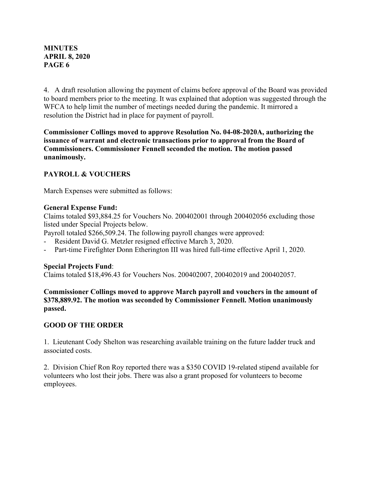4. A draft resolution allowing the payment of claims before approval of the Board was provided to board members prior to the meeting. It was explained that adoption was suggested through the WFCA to help limit the number of meetings needed during the pandemic. It mirrored a resolution the District had in place for payment of payroll.

**Commissioner Collings moved to approve Resolution No. 04-08-2020A, authorizing the issuance of warrant and electronic transactions prior to approval from the Board of Commissioners. Commissioner Fennell seconded the motion. The motion passed unanimously.** 

# **PAYROLL & VOUCHERS**

March Expenses were submitted as follows:

#### **General Expense Fund:**

Claims totaled \$93,884.25 for Vouchers No. 200402001 through 200402056 excluding those listed under Special Projects below.

Payroll totaled \$266,509.24. The following payroll changes were approved:

- Resident David G. Metzler resigned effective March 3, 2020.
- Part-time Firefighter Donn Etherington III was hired full-time effective April 1, 2020.

### **Special Projects Fund**:

Claims totaled \$18,496.43 for Vouchers Nos. 200402007, 200402019 and 200402057.

**Commissioner Collings moved to approve March payroll and vouchers in the amount of \$378,889.92. The motion was seconded by Commissioner Fennell. Motion unanimously passed.**

## **GOOD OF THE ORDER**

1. Lieutenant Cody Shelton was researching available training on the future ladder truck and associated costs.

2. Division Chief Ron Roy reported there was a \$350 COVID 19-related stipend available for volunteers who lost their jobs. There was also a grant proposed for volunteers to become employees.